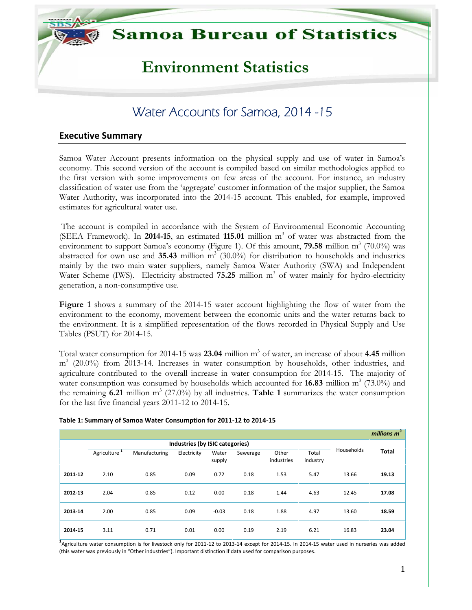**Samoa Bureau of Statistics** 

# **Environment Statistics**

# **Water Accounts for Samoa, 2014 -15**

# **Executive Summary**

Samoa Water Account presents information on the physical supply and use of water in Samoa's economy. This second version of the account is compiled based on similar methodologies applied to the first version with some improvements on few areas of the account. For instance, an industry classification of water use from the 'aggregate' customer information of the major supplier, the Samoa Water Authority, was incorporated into the 2014-15 account. This enabled, for example, improved estimates for agricultural water use.

The account is compiled in accordance with the System of Environmental Economic Accounting (SEEA Framework). In **2014-15**, an estimated **115.01** million  $m<sup>3</sup>$  of water was abstracted from the environment to support Samoa's economy (Figure 1). Of this amount, **79.58** million  $m^3$  (70.0%) was abstracted for own use and **35.43** million  $m^3$  (30.0%) for distribution to households and industries mainly by the two main water suppliers, namely Samoa Water Authority (SWA) and Independent Water Scheme (IWS). Electricity abstracted 75.25 million m<sup>3</sup> of water mainly for hydro-electricity generation, a non-consumptive use.

**Figure 1** shows a summary of the 2014-15 water account highlighting the flow of water from the environment to the economy, movement between the economic units and the water returns back to the environment. It is a simplified representation of the flows recorded in Physical Supply and Use Tables (PSUT) for 2014-15.

Total water consumption for 2014-15 was 23.04 million m<sup>3</sup> of water, an increase of about 4.45 million m<sup>3</sup> (20.0%) from 2013-14. Increases in water consumption by households, other industries, and agriculture contributed to the overall increase in water consumption for 2014-15. The majority of water consumption was consumed by households which accounted for **16.83** million  $m^3$  (73.0%) and the remaining  $6.21$  million m<sup>3</sup> (27.0%) by all industries. **Table 1** summarizes the water consumption for the last five financial years 2011-12 to 2014-15.

#### **Table 1: Summary of Samoa Water Consumption for 2011-12 to 2014-15**

|         |                          |               |             |                 |          |                     |                   |            | millions $m^3$ |
|---------|--------------------------|---------------|-------------|-----------------|----------|---------------------|-------------------|------------|----------------|
|         |                          |               |             |                 |          |                     |                   |            |                |
|         | Agriculture <sup>1</sup> | Manufacturing | Electricity | Water<br>supply | Sewerage | Other<br>industries | Total<br>industry | Households | <b>Total</b>   |
| 2011-12 | 2.10                     | 0.85          | 0.09        | 0.72            | 0.18     | 1.53                | 5.47              | 13.66      | 19.13          |
| 2012-13 | 2.04                     | 0.85          | 0.12        | 0.00            | 0.18     | 1.44                | 4.63              | 12.45      | 17.08          |
| 2013-14 | 2.00                     | 0.85          | 0.09        | $-0.03$         | 0.18     | 1.88                | 4.97              | 13.60      | 18.59          |
| 2014-15 | 3.11                     | 0.71          | 0.01        | 0.00            | 0.19     | 2.19                | 6.21              | 16.83      | 23.04          |

**<sup>1</sup>**Agriculture water consumption is for livestock only for 2011-12 to 2013-14 except for 2014-15. In 2014-15 water used in nurseries was added (this water was previously in "Other industries"). Important distinction if data used for comparison purposes.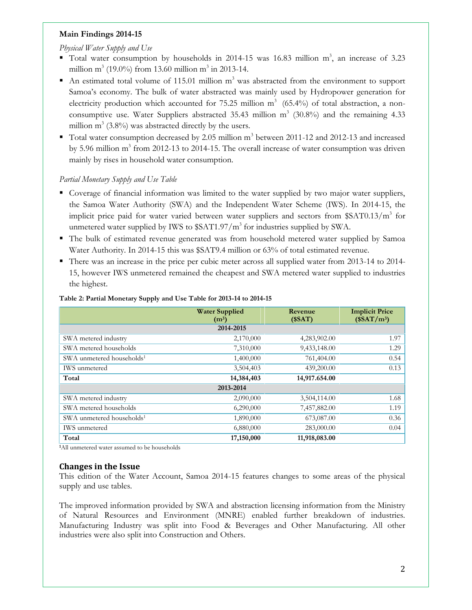### **Main Findings 2014-15**

*Physical Water Supply and Use*

- Total water consumption by households in 2014-15 was 16.83 million  $m^3$ , an increase of 3.23 million m<sup>3</sup> (19.0%) from 13.60 million m<sup>3</sup> in 2013-14.
- An estimated total volume of 115.01 million  $m<sup>3</sup>$  was abstracted from the environment to support Samoa's economy. The bulk of water abstracted was mainly used by Hydropower generation for electricity production which accounted for 75.25 million  $m<sup>3</sup>$  (65.4%) of total abstraction, a nonconsumptive use. Water Suppliers abstracted  $35.43$  million m<sup>3</sup> ( $30.8\%$ ) and the remaining 4.33 million  $m^3$  (3.8%) was abstracted directly by the users.
- $\blacksquare$  Total water consumption decreased by 2.05 million m<sup>3</sup> between 2011-12 and 2012-13 and increased by 5.96 million  $m<sup>3</sup>$  from 2012-13 to 2014-15. The overall increase of water consumption was driven mainly by rises in household water consumption.

## *Partial Monetary Supply and Use Table*

- Coverage of financial information was limited to the water supplied by two major water suppliers, the Samoa Water Authority (SWA) and the Independent Water Scheme (IWS). In 2014-15, the implicit price paid for water varied between water suppliers and sectors from  $$SAT0.13/m<sup>3</sup>$  for unmetered water supplied by IWS to  $$SAT1.97/m<sup>3</sup>$  for industries supplied by SWA.
- The bulk of estimated revenue generated was from household metered water supplied by Samoa Water Authority. In 2014-15 this was \$SAT9.4 million or 63% of total estimated revenue.
- There was an increase in the price per cubic meter across all supplied water from 2013-14 to 2014- 15, however IWS unmetered remained the cheapest and SWA metered water supplied to industries the highest.

|                                       | <b>Water Supplied</b><br>$(m^3)$ | Revenue<br>(SSAT) | <b>Implicit Price</b><br>(\$SAT/m <sup>3</sup> ) |
|---------------------------------------|----------------------------------|-------------------|--------------------------------------------------|
|                                       | 2014-2015                        |                   |                                                  |
| SWA metered industry                  | 2,170,000                        | 4,283,902.00      | 1.97                                             |
| SWA metered households                | 7,310,000                        | 9,433,148.00      | 1.29                                             |
| SWA unmetered households <sup>1</sup> | 1,400,000                        | 761,404.00        | 0.54                                             |
| <b>IWS</b> unmetered                  | 3,504,403                        | 439,200.00        | 0.13                                             |
| Total                                 | 14,384,403                       | 14,917.654.00     |                                                  |
|                                       | 2013-2014                        |                   |                                                  |
| SWA metered industry                  | 2,090,000                        | 3,504,114.00      | 1.68                                             |
| SWA metered households                | 6,290,000                        | 7,457,882.00      | 1.19                                             |
| SWA unmetered households <sup>1</sup> | 1,890,000                        | 673,087.00        | 0.36                                             |
| <b>IWS</b> unmetered                  | 6,880,000                        | 283,000.00        | 0.04                                             |
| Total                                 | 17,150,000                       | 11,918,083.00     |                                                  |

#### **Table 2: Partial Monetary Supply and Use Table for 2013-14 to 2014-15**

**<sup>1</sup>**All unmetered water assumed to be households

#### **Changes in the Issue**

This edition of the Water Account, Samoa 2014-15 features changes to some areas of the physical supply and use tables.

The improved information provided by SWA and abstraction licensing information from the Ministry of Natural Resources and Environment (MNRE) enabled further breakdown of industries. Manufacturing Industry was split into Food & Beverages and Other Manufacturing. All other industries were also split into Construction and Others.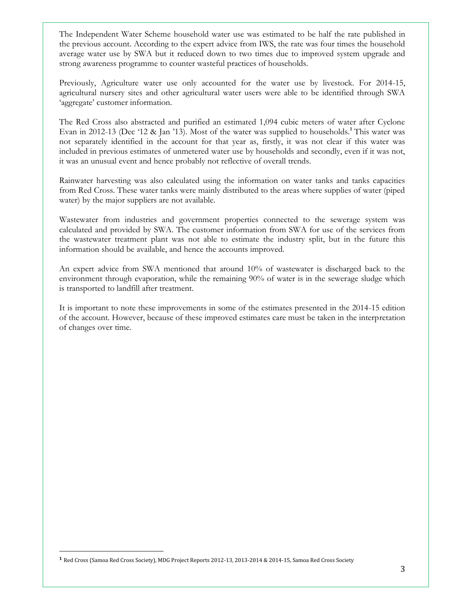The Independent Water Scheme household water use was estimated to be half the rate published in the previous account. According to the expert advice from IWS, the rate was four times the household average water use by SWA but it reduced down to two times due to improved system upgrade and strong awareness programme to counter wasteful practices of households.

Previously, Agriculture water use only accounted for the water use by livestock. For 2014-15, agricultural nursery sites and other agricultural water users were able to be identified through SWA 'aggregate' customer information.

The Red Cross also abstracted and purified an estimated 1,094 cubic meters of water after Cyclone Evan in 2012-13 (Dec '12 & Jan '13). Most of the water was supplied to households.**<sup>1</sup>** This water was not separately identified in the account for that year as, firstly, it was not clear if this water was included in previous estimates of unmetered water use by households and secondly, even if it was not, it was an unusual event and hence probably not reflective of overall trends.

Rainwater harvesting was also calculated using the information on water tanks and tanks capacities from Red Cross. These water tanks were mainly distributed to the areas where supplies of water (piped water) by the major suppliers are not available.

Wastewater from industries and government properties connected to the sewerage system was calculated and provided by SWA. The customer information from SWA for use of the services from the wastewater treatment plant was not able to estimate the industry split, but in the future this information should be available, and hence the accounts improved.

An expert advice from SWA mentioned that around 10% of wastewater is discharged back to the environment through evaporation, while the remaining 90% of water is in the sewerage sludge which is transported to landfill after treatment.

It is important to note these improvements in some of the estimates presented in the 2014-15 edition of the account. However, because of these improved estimates care must be taken in the interpretation of changes over time.

**<sup>1</sup>** Red Cross (Samoa Red Cross Society), MDG Project Reports 2012-13, 2013-2014 & 2014-15, Samoa Red Cross Society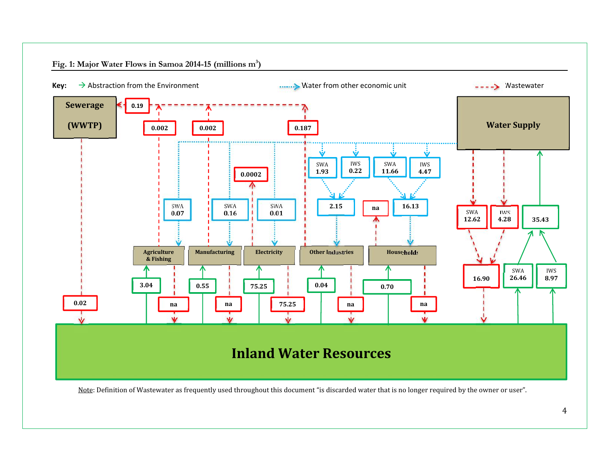

Note: Definition of Wastewater as frequently used throughout this document "is discarded water that is no longer required by the owner or user".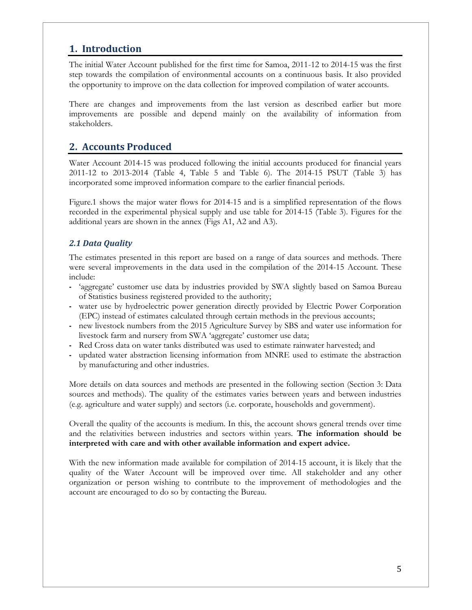# **1. Introduction**

The initial Water Account published for the first time for Samoa, 2011-12 to 2014-15 was the first step towards the compilation of environmental accounts on a continuous basis. It also provided the opportunity to improve on the data collection for improved compilation of water accounts.

There are changes and improvements from the last version as described earlier but more improvements are possible and depend mainly on the availability of information from stakeholders.

# **2. Accounts Produced**

Water Account 2014-15 was produced following the initial accounts produced for financial years 2011-12 to 2013-2014 (Table 4, Table 5 and Table 6). The 2014-15 PSUT (Table 3) has incorporated some improved information compare to the earlier financial periods.

Figure.1 shows the major water flows for 2014-15 and is a simplified representation of the flows recorded in the experimental physical supply and use table for 2014-15 (Table 3). Figures for the additional years are shown in the annex (Figs A1, A2 and A3).

# *2.1 Data Quality*

The estimates presented in this report are based on a range of data sources and methods. There were several improvements in the data used in the compilation of the 2014-15 Account. These include:

- **-** 'aggregate' customer use data by industries provided by SWA slightly based on Samoa Bureau of Statistics business registered provided to the authority;
- **-** water use by hydroelectric power generation directly provided by Electric Power Corporation (EPC) instead of estimates calculated through certain methods in the previous accounts;
- **-** new livestock numbers from the 2015 Agriculture Survey by SBS and water use information for livestock farm and nursery from SWA 'aggregate' customer use data;
- **-** Red Cross data on water tanks distributed was used to estimate rainwater harvested; and
- **-** updated water abstraction licensing information from MNRE used to estimate the abstraction by manufacturing and other industries.

More details on data sources and methods are presented in the following section (Section 3: Data sources and methods). The quality of the estimates varies between years and between industries (e.g. agriculture and water supply) and sectors (i.e. corporate, households and government).

Overall the quality of the accounts is medium. In this, the account shows general trends over time and the relativities between industries and sectors within years. **The information should be interpreted with care and with other available information and expert advice.**

With the new information made available for compilation of 2014-15 account, it is likely that the quality of the Water Account will be improved over time. All stakeholder and any other organization or person wishing to contribute to the improvement of methodologies and the account are encouraged to do so by contacting the Bureau.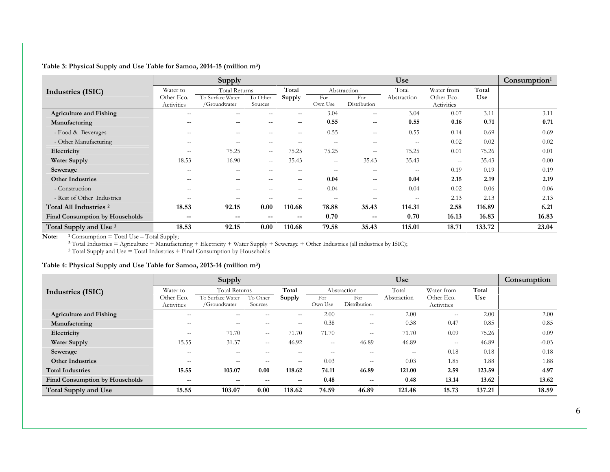| Table 3: Physical Supply and Use Table for Samoa, 2014-15 (million m <sup>3</sup> ) |
|-------------------------------------------------------------------------------------|
|-------------------------------------------------------------------------------------|

|                                        |                                                   | Supply                                              |                          |                          |               |                          | <b>Use</b>               |                          |        | Consumption <sup>1</sup> |
|----------------------------------------|---------------------------------------------------|-----------------------------------------------------|--------------------------|--------------------------|---------------|--------------------------|--------------------------|--------------------------|--------|--------------------------|
| Industries (ISIC)                      | Water to                                          | <b>Total Returns</b>                                |                          | Total                    |               | Abstraction              | Total                    | Water from               | Total  |                          |
|                                        | Other Eco.                                        | To Surface Water                                    | To Other                 | Supply                   | For           | For                      | Abstraction              | Other Eco.               | Use    |                          |
|                                        | Activities                                        | /Groundwater                                        | Sources                  |                          | Own Use       | Distribution             |                          | Activities               |        |                          |
| <b>Agriculture and Fishing</b>         | $\hspace{0.05cm} -$                               | $- -$                                               | $\hspace{0.05cm}$        | $\sim$ $\sim$            | 3.04          | $\sim$ $\sim$            | 3.04                     | 0.07                     | 3.11   | 3.11                     |
| Manufacturing                          | --                                                | --                                                  | --                       | $- -$                    | 0.55          | --                       | 0.55                     | 0.16                     | 0.71   | 0.71                     |
| - Food & Beverages                     | $\overline{\phantom{m}}$                          | $\hspace{0.05cm} -\hspace{0.05cm} -\hspace{0.05cm}$ | $\overline{\phantom{m}}$ | $\sim$ $\sim$            | 0.55          | $\sim$ $\sim$            | 0.55                     | 0.14                     | 0.69   | 0.69                     |
| - Other Manufacturing                  | $- -$                                             | $\qquad \qquad -$                                   |                          | $\overline{\phantom{m}}$ | $\sim$ $\sim$ | $- -$                    | $\overline{\phantom{a}}$ | 0.02                     | 0.02   | 0.02                     |
| Electricity                            | $\overline{\phantom{a}}$                          | 75.25                                               | $\sim$                   | 75.25                    | 75.25         | $\sim$ $\sim$            | 75.25                    | 0.01                     | 75.26  | 0.01                     |
| <b>Water Supply</b>                    | 18.53                                             | 16.90                                               | $\sim$                   | 35.43                    | $\sim$ $\sim$ | 35.43                    | 35.43                    | $\overline{\phantom{m}}$ | 35.43  | 0.00                     |
| Sewerage                               | $\overline{\phantom{m}}$                          | $\overline{\phantom{a}}$                            | $\overline{\phantom{m}}$ | $\sim$ $\sim$            | $\sim$ $\sim$ | $\overline{\phantom{a}}$ | $\overline{\phantom{m}}$ | 0.19                     | 0.19   | 0.19                     |
| <b>Other Industries</b>                | $\overline{\phantom{m}}$                          | $\overline{\phantom{a}}$                            | --                       | $- -$                    | 0.04          | --                       | 0.04                     | 2.15                     | 2.19   | 2.19                     |
| - Construction                         | $\qquad \qquad -$                                 | $- -$                                               |                          | $\sim$ $\sim$            | 0.04          | $\sim$ $\sim$            | 0.04                     | 0.02                     | 0.06   | 0.06                     |
| - Rest of Other Industries             | $\overline{\phantom{a}}$                          | $\overline{\phantom{a}}$                            | $\overline{\phantom{m}}$ | $\sim$                   | $\sim$ $\sim$ | $\sim$ $\sim$            | $\overline{\phantom{m}}$ | 2.13                     | 2.13   | 2.13                     |
| Total All Industries <sup>2</sup>      | 18.53                                             | 92.15                                               | 0.00                     | 110.68                   | 78.88         | 35.43                    | 114.31                   | 2.58                     | 116.89 | 6.21                     |
| <b>Final Consumption by Households</b> | $\hspace{0.05cm}-\hspace{0.05cm}-\hspace{0.05cm}$ | $\overline{\phantom{m}}$                            | $\overline{\phantom{m}}$ | --                       | 0.70          | $\hspace{0.05cm}$        | 0.70                     | 16.13                    | 16.83  | 16.83                    |
| Total Supply and Use <sup>3</sup>      | 18.53                                             | 92.15                                               | 0.00                     | 110.68                   | 79.58         | 35.43                    | 115.01                   | 18.71                    | 133.72 | 23.04                    |

**Note: <sup>1</sup>** Consumption = Total Use – Total Supply;

**<sup>2</sup>** Total Industries = Agriculture + Manufacturing + Electricity + Water Supply + Sewerage + Other Industries (all industries by ISIC); <sup>3</sup> Total Supply and Use = Total Industries + Final Consumption by Households

#### **Table 4: Physical Supply and Use Table for Samoa, 2013-14 (million m3)**

|                                        |                          | Supply                           |                     |                          | <b>Use</b>               |                                                     |               |                          |        | Consumption |
|----------------------------------------|--------------------------|----------------------------------|---------------------|--------------------------|--------------------------|-----------------------------------------------------|---------------|--------------------------|--------|-------------|
| Industries (ISIC)                      | Water to                 | <b>Total Returns</b>             |                     | Total                    |                          | Abstraction                                         | Total         | Water from               | Total  |             |
|                                        | Other Eco.<br>Activities | To Surface Water<br>/Groundwater | To Other<br>Sources | Supply                   | For<br>Own Use           | For<br>Distribution                                 | Abstraction   | Other Eco.<br>Activities | Use    |             |
| <b>Agriculture and Fishing</b>         | $\sim$ $\sim$            | $- -$                            | --                  | $\overline{\phantom{m}}$ | 2.00                     | $\overline{\phantom{a}}$                            | 2.00          | $\qquad \qquad -$        | 2.00   | 2.00        |
| Manufacturing                          | $\sim$ $\sim$            | $\qquad \qquad -$                | $-$                 | $\overline{\phantom{m}}$ | 0.38                     | $\hspace{0.05cm} -\hspace{0.05cm} -\hspace{0.05cm}$ | 0.38          | 0.47                     | 0.85   | 0.85        |
| Electricity                            | $\sim$ $\sim$            | 71.70                            | $\sim$ $\sim$       | 71.70                    | 71.70                    | $\overline{\phantom{a}}$                            | 71.70         | 0.09                     | 75.26  | 0.09        |
| <b>Water Supply</b>                    | 15.55                    | 31.37                            | $\sim$ $-$          | 46.92                    | $\overline{\phantom{m}}$ | 46.89                                               | 46.89         | $\overline{\phantom{m}}$ | 46.89  | $-0.03$     |
| Sewerage                               | $\sim$ $\sim$            | $- -$                            | $-$                 | $- -$                    | $\overline{\phantom{m}}$ | $\sim$ $\sim$                                       | $\sim$ $\sim$ | 0.18                     | 0.18   | 0.18        |
| <b>Other Industries</b>                | $\sim$ $\sim$            | $\qquad \qquad -$                | $-$                 | $\overline{\phantom{m}}$ | 0.03                     | $\sim$                                              | 0.03          | 1.85                     | 1.88   | 1.88        |
| <b>Total Industries</b>                | 15.55                    | 103.07                           | 0.00                | 118.62                   | 74.11                    | 46.89                                               | 121.00        | 2.59                     | 123.59 | 4.97        |
| <b>Final Consumption by Households</b> | $- -$                    | --                               | --                  | $\overline{\phantom{m}}$ | 0.48                     | $\overline{\phantom{a}}$                            | 0.48          | 13.14                    | 13.62  | 13.62       |
| Total Supply and Use                   | 15.55                    | 103.07                           | 0.00                | 118.62                   | 74.59                    | 46.89                                               | 121.48        | 15.73                    | 137.21 | 18.59       |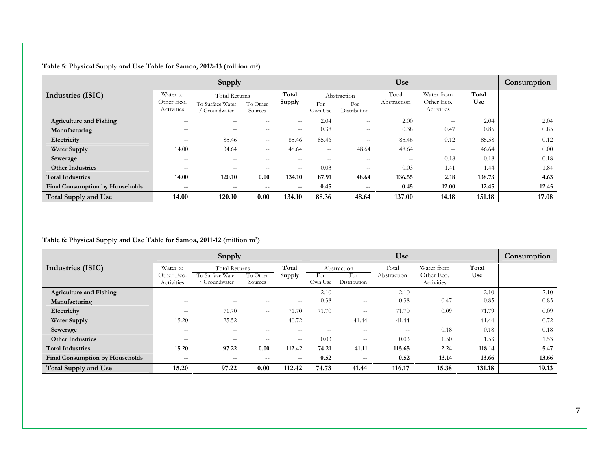| Table 5: Physical Supply and Use Table for Samoa, 2012-13 (million m <sup>3</sup> ) |  |  |  |
|-------------------------------------------------------------------------------------|--|--|--|
|-------------------------------------------------------------------------------------|--|--|--|

|                                        | Supply                          |                                 |                          |        |                          | <b>Use</b>          |               |                          |        |       |
|----------------------------------------|---------------------------------|---------------------------------|--------------------------|--------|--------------------------|---------------------|---------------|--------------------------|--------|-------|
| Industries (ISIC)                      | Water to                        | <b>Total Returns</b>            |                          | Total  |                          | Abstraction         | Total         | Water from               | Total  |       |
|                                        | Other Eco.<br><b>Activities</b> | To Surface Water<br>Groundwater | To Other<br>Sources      | Supply | For<br>Own Use           | For<br>Distribution | Abstraction   | Other Eco.<br>Activities | Use    |       |
| <b>Agriculture and Fishing</b>         | $\hspace{0.05cm}$               | $- -$                           | $-$                      | $\sim$ | 2.04                     | $-$                 | 2.00          | $\sim$                   | 2.04   | 2.04  |
| Manufacturing                          | $- -$                           | $- -$                           |                          | $\sim$ | 0.38                     | $\sim$              | 0.38          | 0.47                     | 0.85   | 0.85  |
| Electricity                            | $\hspace{0.05cm}$               | 85.46                           | $\sim$ $\sim$            | 85.46  | 85.46                    | $\hspace{0.05cm}$   | 85.46         | 0.12                     | 85.58  | 0.12  |
| <b>Water Supply</b>                    | 14.00                           | 34.64                           | $\overline{\phantom{a}}$ | 48.64  | $\overline{\phantom{a}}$ | 48.64               | 48.64         | $\sim$                   | 46.64  | 0.00  |
| Sewerage                               | $\hspace{0.05cm}$               | $- -$                           |                          | $\sim$ | $\hspace{0.05cm}$        | --                  | $\sim$ $\sim$ | 0.18                     | 0.18   | 0.18  |
| <b>Other Industries</b>                | $\hspace{0.05cm}$               | $- -$                           | $\overline{\phantom{a}}$ | $\sim$ | 0.03                     | --                  | 0.03          | 1.41                     | 1.44   | 1.84  |
| <b>Total Industries</b>                | 14.00                           | 120.10                          | 0.00                     | 134.10 | 87.91                    | 48.64               | 136.55        | 2.18                     | 138.73 | 4.63  |
| <b>Final Consumption by Households</b> | --                              | $- -$                           | $\overline{\phantom{a}}$ | $- -$  | 0.45                     | --                  | 0.45          | 12.00                    | 12.45  | 12.45 |
| Total Supply and Use                   | 14.00                           | 120.10                          | 0.00                     | 134.10 | 88.36                    | 48.64               | 137.00        | 14.18                    | 151.18 | 17.08 |

#### **Table 6: Physical Supply and Use Table for Samoa, 2011-12 (million m3)**

|                                        |                                  | Supply           |                   |               | Use               |               |               |                          |            | Consumption |
|----------------------------------------|----------------------------------|------------------|-------------------|---------------|-------------------|---------------|---------------|--------------------------|------------|-------------|
| Industries (ISIC)                      | <b>Total Returns</b><br>Water to |                  |                   | Total         |                   | Abstraction   | Total         | Water from               | Total      |             |
|                                        | Other Eco.                       | To Surface Water | To Other          | Supply        | For               | For           | Abstraction   | Other Eco.               | <b>Use</b> |             |
|                                        | Activities                       | Groundwater      | Sources           |               | Own Use           | Distribution  |               | Activities               |            |             |
| <b>Agriculture and Fishing</b>         | $-$                              |                  | --                | $\sim$ $\sim$ | 2.10              | $\sim$ $\sim$ | 2.10          | $\overline{\phantom{m}}$ | 2.10       | 2.10        |
| Manufacturing                          | $\sim$                           | $- -$            | $- -$             | $\sim$        | 0.38              | $\sim$ $\sim$ | 0.38          | 0.47                     | 0.85       | 0.85        |
| Electricity                            | $\overline{\phantom{a}}$         | 71.70            | $\qquad \qquad -$ | 71.70         | 71.70             | $\sim$ $\sim$ | 71.70         | 0.09                     | 71.79      | 0.09        |
| <b>Water Supply</b>                    | 15.20                            | 25.52            | $- -$             | 40.72         | $\sim$ $\sim$     | 41.44         | 41.44         | $\overline{\phantom{m}}$ | 41.44      | 0.72        |
| Sewerage                               | $\overline{\phantom{a}}$         | $- -$            | $\qquad \qquad -$ | $\sim$ $\sim$ | $\hspace{0.05cm}$ | $\sim$ $\sim$ | $\sim$ $\sim$ | 0.18                     | 0.18       | 0.18        |
| <b>Other Industries</b>                | $\overline{\phantom{a}}$         | $- -$            | $- -$             | $\sim$        | 0.03              | $\sim$ $\sim$ | 0.03          | 1.50                     | 1.53       | 1.53        |
| <b>Total Industries</b>                | 15.20                            | 97.22            | 0.00              | 112.42        | 74.21             | 41.11         | 115.65        | 2.24                     | 118.14     | 5.47        |
| <b>Final Consumption by Households</b> | --                               | $- -$            | --                | $- -$         | 0.52              | $- -$         | 0.52          | 13.14                    | 13.66      | 13.66       |
| <b>Total Supply and Use</b>            | 15.20                            | 97.22            | 0.00              | 112.42        | 74.73             | 41.44         | 116.17        | 15.38                    | 131.18     | 19.13       |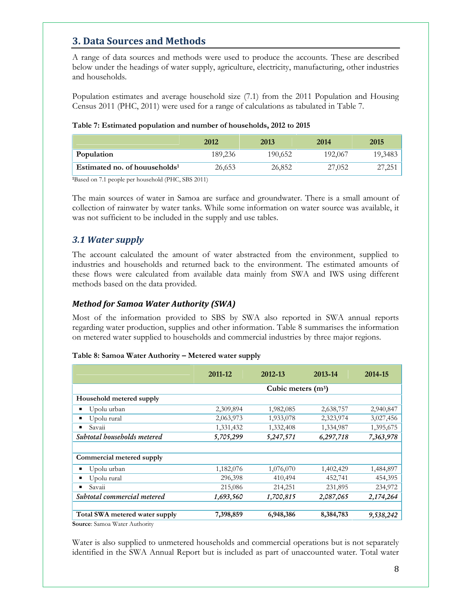# **3. Data Sources and Methods**

A range of data sources and methods were used to produce the accounts. These are described below under the headings of water supply, agriculture, electricity, manufacturing, other industries and households.

Population estimates and average household size (7.1) from the 2011 Population and Housing Census 2011 (PHC, 2011) were used for a range of calculations as tabulated in Table 7.

### **Table 7: Estimated population and number of households, 2012 to 2015**

|                                  | 2012    | 2013    | 2014    | 2015                |
|----------------------------------|---------|---------|---------|---------------------|
| Population                       | 189,236 | 190.652 | 192,067 | 19,3483             |
| Estimated no. of houuseholds $1$ | 26,653  | 26,852  | 27,052  | 27 251<br>1 ل کے اگ |

**<sup>1</sup>**Based on 7.1 people per household (PHC, SBS 2011)

The main sources of water in Samoa are surface and groundwater. There is a small amount of collection of rainwater by water tanks. While some information on water source was available, it was not sufficient to be included in the supply and use tables.

# *3.1 Water supply*

The account calculated the amount of water abstracted from the environment, supplied to industries and households and returned back to the environment. The estimated amounts of these flows were calculated from available data mainly from SWA and IWS using different methods based on the data provided.

# *Method for Samoa Water Authority (SWA)*

Most of the information provided to SBS by SWA also reported in SWA annual reports regarding water production, supplies and other information. Table 8 summarises the information on metered water supplied to households and commercial industries by three major regions.

## **Table 8: Samoa Water Authority – Metered water supply**

|                                | 2011-12   | 2012-13             | 2013-14   | 2014-15   |
|--------------------------------|-----------|---------------------|-----------|-----------|
|                                |           | Cubic meters $(m3)$ |           |           |
| Household metered supply       |           |                     |           |           |
| Upolu urban                    | 2,309,894 | 1,982,085           | 2,638,757 | 2,940,847 |
| Upolu rural                    | 2,063,973 | 1,933,078           | 2,323,974 | 3,027,456 |
| Savaii                         | 1,331,432 | 1,332,408           | 1,334,987 | 1,395,675 |
| Subtotal households metered    | 5,705,299 | 5,247,571           | 6,297,718 | 7,363,978 |
| Commercial metered supply      |           |                     |           |           |
| Upolu urban                    | 1,182,076 | 1,076,070           | 1,402,429 | 1,484,897 |
| Upolu rural                    | 296,398   | 410,494             | 452,741   | 454,395   |
| Savaii                         | 215,086   | 214,251             | 231,895   | 234,972   |
| Subtotal commercial metered    | 1,693,560 | 1,700,815           | 2,087,065 | 2,174,264 |
| Total SWA metered water supply | 7,398,859 | 6,948,386           | 8,384,783 | 9,538,242 |

**Source**: Samoa Water Authority

Water is also supplied to unmetered households and commercial operations but is not separately identified in the SWA Annual Report but is included as part of unaccounted water. Total water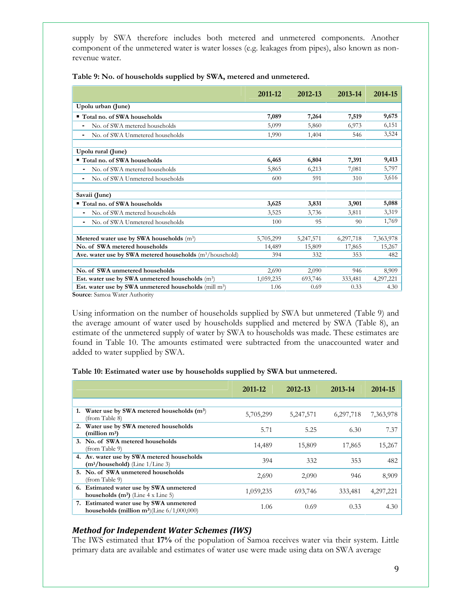supply by SWA therefore includes both metered and unmetered components. Another component of the unmetered water is water losses (e.g. leakages from pipes), also known as non revenue water.

|                                                                   | 2011-12   | 2012-13   | 2013-14   | 2014-15   |
|-------------------------------------------------------------------|-----------|-----------|-----------|-----------|
| Upolu urban (June)                                                |           |           |           |           |
| ■ Total no. of SWA households                                     | 7,089     | 7,264     | 7,519     | 9,675     |
| No. of SWA metered households<br>۰                                | 5,099     | 5,860     | 6,973     | 6,151     |
| No. of SWA Unmetered households<br>۰                              | 1,990     | 1,404     | 546       | 3,524     |
| Upolu rural (June)                                                |           |           |           |           |
| Total no. of SWA households                                       | 6,465     | 6,804     | 7,391     | 9,413     |
| No. of SWA metered households<br>. .                              | 5,865     | 6,213     | 7.081     | 5,797     |
| No. of SWA Unmetered households<br>۰                              | 600       | 591       | 310       | 3,616     |
| Savaii (June)                                                     |           |           |           |           |
| ■ Total no. of SWA households                                     | 3,625     | 3,831     | 3,901     | 5,088     |
| No. of SWA metered households<br>۰                                | 3,525     | 3,736     | 3,811     | 3,319     |
| No. of SWA Unmetered households                                   | 100       | 95        | 90        | 1,769     |
| Metered water use by SWA households $(m3)$                        | 5,705,299 | 5,247,571 | 6,297,718 | 7,363,978 |
| No. of SWA metered households                                     | 14,489    | 15,809    | 17,865    | 15,267    |
| Ave. water use by SWA metered households $(m^3/h\text{ousehold})$ | 394       | 332       | 353       | 482       |
| No. of SWA unmetered households                                   | 2,690     | 2,090     | 946       | 8,909     |
| Est. water use by SWA unmetered households (m <sup>3</sup> )      | 1,059,235 | 693,746   | 333,481   | 4,297,221 |
| Est. water use by SWA unmetered households (mill m <sup>3</sup> ) | 1.06      | 0.69      | 0.33      | 4.30      |

#### **Table 9: No. of households supplied by SWA, metered and unmetered.**

**Source**: Samoa Water Authority

Using information on the number of households supplied by SWA but unmetered (Table 9) and the average amount of water used by households supplied and metered by SWA (Table 8), an estimate of the unmetered supply of water by SWA to households was made. These estimates are found in Table 10. The amounts estimated were subtracted from the unaccounted water and added to water supplied by SWA.

#### **Table 10: Estimated water use by households supplied by SWA but unmetered.**

|                                                                                          | 2011-12   | 2012-13   | 2013-14   | 2014-15   |
|------------------------------------------------------------------------------------------|-----------|-----------|-----------|-----------|
|                                                                                          |           |           |           |           |
| Water use by SWA metered households $(m^3)$<br>1.<br>(from Table 8)                      | 5,705,299 | 5,247,571 | 6,297,718 | 7,363,978 |
| Water use by SWA metered households<br>2.<br>(million $m^3$ )                            | 5.71      | 5.25      | 6.30      | 7.37      |
| 3. No. of SWA metered households<br>(from Table 9)                                       | 14,489    | 15,809    | 17,865    | 15,267    |
| 4. Av. water use by SWA metered households<br>$(m3/household)$ (Line 1/Line 3)           | 394       | 332       | 353       | 482       |
| 5. No. of SWA unmetered households<br>(from Table 9)                                     | 2,690     | 2,090     | 946       | 8,909     |
| 6. Estimated water use by SWA unmetered<br>households $(m^3)$ (Line 4 x Line 5)          | 1,059,235 | 693,746   | 333,481   | 4,297,221 |
| 7. Estimated water use by SWA unmetered<br>households (million $m^3$ )(Line 6/1,000,000) | 1.06      | 0.69      | 0.33      | 4.30      |

#### *Method for Independent Water Schemes (IWS)*

The IWS estimated that **17%** of the population of Samoa receives water via their system. Little primary data are available and estimates of water use were made using data on SWA average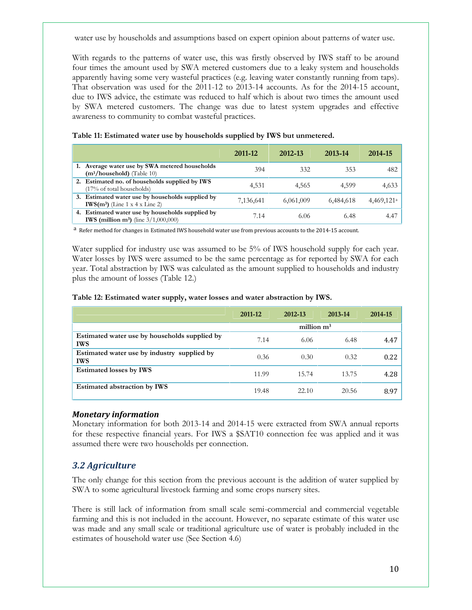water use by households and assumptions based on expert opinion about patterns of water use.

With regards to the patterns of water use, this was firstly observed by IWS staff to be around four times the amount used by SWA metered customers due to a leaky system and households apparently having some very wasteful practices (e.g. leaving water constantly running from taps). That observation was used for the 2011-12 to 2013-14 accounts. As for the 2014-15 account, due to IWS advice, the estimate was reduced to half which is about two times the amount used by SWA metered customers. The change was due to latest system upgrades and effective awareness to community to combat wasteful practices.

|                                                                                                                | 2011-12   | 2012-13   | 2013-14   | 2014-15                |
|----------------------------------------------------------------------------------------------------------------|-----------|-----------|-----------|------------------------|
| Average water use by SWA metered households<br>$(m3/household)$ (Table 10)                                     | 394       | 332       | 353       | 482                    |
| 2. Estimated no. of households supplied by IWS<br>(17% of total households)                                    | 4.531     | 4.565     | 4.599     | 4,633                  |
| 3. Estimated water use by households supplied by<br>IWS $(m^3)$ (Line 1 x 4 x Line 2)                          | 7,136,641 | 6,061,009 | 6,484,618 | 4,469,121 <sup>a</sup> |
| 4. Estimated water use by households supplied by<br><b>IWS</b> (million m <sup>3</sup> ) (line $3/1,000,000$ ) | 7.14      | 6.06      | 6.48      | 4.47                   |

### **Table 11: Estimated water use by households supplied by IWS but unmetered.**

<sup>a</sup> Refer method for changes in Estimated IWS household water use from previous accounts to the 2014-15 account.

Water supplied for industry use was assumed to be 5% of IWS household supply for each year. Water losses by IWS were assumed to be the same percentage as for reported by SWA for each year. Total abstraction by IWS was calculated as the amount supplied to households and industry plus the amount of losses (Table 12.)

| Table 12: Estimated water supply, water losses and water abstraction by IWS. |  |
|------------------------------------------------------------------------------|--|
|------------------------------------------------------------------------------|--|

|                                                             | 2011-12 | 2012-13      | 2013-14 | 2014-15 |
|-------------------------------------------------------------|---------|--------------|---------|---------|
|                                                             |         | million $m3$ |         |         |
| Estimated water use by households supplied by<br><b>IWS</b> | 7.14    | 6.06         | 6.48    | 4.47    |
| Estimated water use by industry supplied by<br><b>IWS</b>   | 0.36    | 0.30         | 0.32    | 0.22    |
| <b>Estimated losses by IWS</b>                              | 11.99   | 15.74        | 13.75   | 4.28    |
| <b>Estimated abstraction by IWS</b>                         | 19.48   | 22.10        | 20.56   | 8.97    |

## *Monetary information*

Monetary information for both 2013-14 and 2014-15 were extracted from SWA annual reports for these respective financial years. For IWS a \$SAT10 connection fee was applied and it was assumed there were two households per connection.

# *3.2 Agriculture*

The only change for this section from the previous account is the addition of water supplied by SWA to some agricultural livestock farming and some crops nursery sites.

There is still lack of information from small scale semi-commercial and commercial vegetable farming and this is not included in the account. However, no separate estimate of this water use was made and any small scale or traditional agriculture use of water is probably included in the estimates of household water use (See Section 4.6)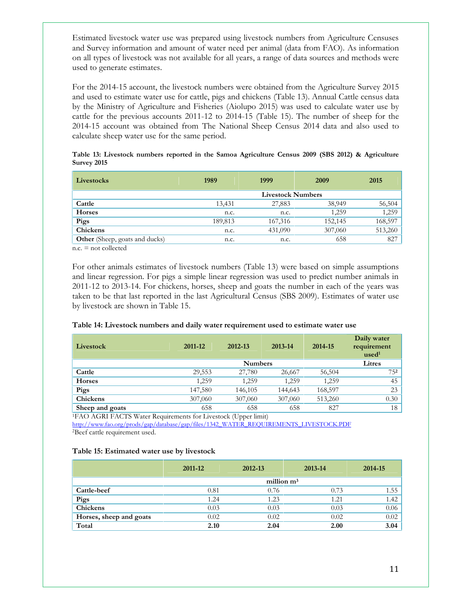Estimated livestock water use was prepared using livestock numbers from Agriculture Censuses and Survey information and amount of water need per animal (data from FAO). As information on all types of livestock was not available for all years, a range of data sources and methods were used to generate estimates.

For the 2014-15 account, the livestock numbers were obtained from the Agriculture Survey 2015 and used to estimate water use for cattle, pigs and chickens (Table 13). Annual Cattle census data by the Ministry of Agriculture and Fisheries (Aiolupo 2015) was used to calculate water use by cattle for the previous accounts 2011-12 to 2014-15 (Table 15). The number of sheep for the 2014-15 account was obtained from The National Sheep Census 2014 data and also used to calculate sheep water use for the same period.

| Table 13: Livestock numbers reported in the Samoa Agriculture Census 2009 (SBS 2012) & Agriculture |  |  |  |
|----------------------------------------------------------------------------------------------------|--|--|--|
| Survey 2015                                                                                        |  |  |  |

| Livestocks                            | 1989    | 1999                     | 2009    | 2015    |
|---------------------------------------|---------|--------------------------|---------|---------|
|                                       |         | <b>Livestock Numbers</b> |         |         |
| Cattle                                | 13,431  | 27,883                   | 38,949  | 56,504  |
| <b>Horses</b>                         | n.c.    | n.c.                     | 1,259   | 1,259   |
| Pigs                                  | 189,813 | 167,316                  | 152,145 | 168,597 |
| Chickens                              | n.c.    | 431,090                  | 307,060 | 513,260 |
| <b>Other</b> (Sheep, goats and ducks) | n.c.    | n.c.                     | 658     | 827     |

n.c. = not collected

For other animals estimates of livestock numbers (Table 13) were based on simple assumptions and linear regression. For pigs a simple linear regression was used to predict number animals in 2011-12 to 2013-14. For chickens, horses, sheep and goats the number in each of the years was taken to be that last reported in the last Agricultural Census (SBS 2009). Estimates of water use by livestock are shown in Table 15.

|                 | 2011-12 | 2012-13        | 2013-14 | 2014-15 | requirement<br>used <sup>1</sup> |
|-----------------|---------|----------------|---------|---------|----------------------------------|
|                 |         | <b>Numbers</b> |         |         | Litres                           |
| Cattle          | 29,553  | 27,780         | 26,667  | 56,504  | 752                              |
| <b>Horses</b>   | 1,259   | 1,259          | 1,259   | 1,259   | 45                               |
| Pigs            | 147,580 | 146,105        | 144,643 | 168,597 | 23                               |
| Chickens        | 307,060 | 307,060        | 307,060 | 513,260 | 0.30                             |
| Sheep and goats | 658     | 658            | 658     | 827     | 18                               |

#### **Table 14: Livestock numbers and daily water requirement used to estimate water use**

<sup>1</sup>FAO AGRI FACTS Water Requirements for Livestock (Upper limit) http://www.fao.org/prods/gap/database/gap/files/1342\_WATER\_REQUIREMENTS\_LIVESTOCK.PDF <sup>2</sup>Beef cattle requirement used.

#### **Table 15: Estimated water use by livestock**

|                         | 2011-12 | 2012-13 | 2013-14      | 2014-15 |
|-------------------------|---------|---------|--------------|---------|
|                         |         |         | million $m3$ |         |
| Cattle-beef             | 0.81    | 0.76    | 0.73         | 1.55    |
| Pigs                    | 1.24    | 1.23    | 1.21         | 1.42    |
| Chickens                | 0.03    | 0.03    | 0.03         | 0.06    |
| Horses, sheep and goats | 0.02    | 0.02    | 0.02         | 0.02    |
| Total                   | 2.10    | 2.04    | 2.00         | 3.04    |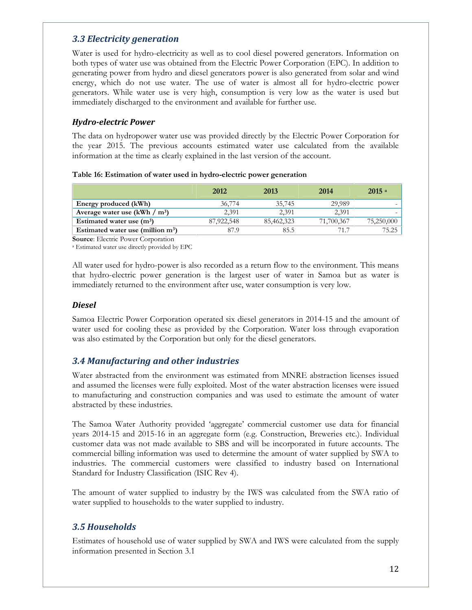# *3.3 Electricity generation*

Water is used for hydro-electricity as well as to cool diesel powered generators. Information on both types of water use was obtained from the Electric Power Corporation (EPC). In addition to generating power from hydro and diesel generators power is also generated from solar and wind energy, which do not use water. The use of water is almost all for hydro-electric power generators. While water use is very high, consumption is very low as the water is used but immediately discharged to the environment and available for further use.

# *Hydro-electric Power*

The data on hydropower water use was provided directly by the Electric Power Corporation for the year 2015. The previous accounts estimated water use calculated from the available information at the time as clearly explained in the last version of the account.

#### **Table 16: Estimation of water used in hydro-electric power generation**

|                                               | 2012       | 2013       | 2014       | $2015$ <sup>a</sup> |
|-----------------------------------------------|------------|------------|------------|---------------------|
| Energy produced (kWh)                         | 36,774     | 35,745     | 29,989     |                     |
| Average water use $(kWh / m3)$                | 2,391      | 2.391      | 2,391      |                     |
| Estimated water use $(m^3)$                   | 87,922,548 | 85,462,323 | 71,700,367 | 75,250,000          |
| Estimated water use (million m <sup>3</sup> ) | 87.9       | 85.5       | 71.7       | 75.25               |

**Source**: Electric Power Corporation

<sup>a</sup> Estimated water use directly provided by EPC

All water used for hydro-power is also recorded as a return flow to the environment. This means that hydro-electric power generation is the largest user of water in Samoa but as water is immediately returned to the environment after use, water consumption is very low.

## *Diesel*

Samoa Electric Power Corporation operated six diesel generators in 2014-15 and the amount of water used for cooling these as provided by the Corporation. Water loss through evaporation was also estimated by the Corporation but only for the diesel generators.

# *3.4 Manufacturing and other industries*

Water abstracted from the environment was estimated from MNRE abstraction licenses issued and assumed the licenses were fully exploited. Most of the water abstraction licenses were issued to manufacturing and construction companies and was used to estimate the amount of water abstracted by these industries.

The Samoa Water Authority provided 'aggregate' commercial customer use data for financial years 2014-15 and 2015-16 in an aggregate form (e.g. Construction, Breweries etc.). Individual customer data was not made available to SBS and will be incorporated in future accounts. The commercial billing information was used to determine the amount of water supplied by SWA to industries. The commercial customers were classified to industry based on International Standard for Industry Classification (ISIC Rev 4).

The amount of water supplied to industry by the IWS was calculated from the SWA ratio of water supplied to households to the water supplied to industry.

# *3.5 Households*

Estimates of household use of water supplied by SWA and IWS were calculated from the supply information presented in Section 3.1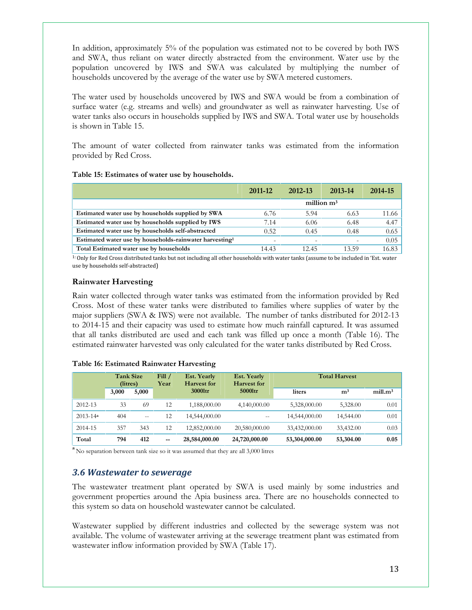In addition, approximately 5% of the population was estimated not to be covered by both IWS and SWA, thus reliant on water directly abstracted from the environment. Water use by the population uncovered by IWS and SWA was calculated by multiplying the number of households uncovered by the average of the water use by SWA metered customers.

The water used by households uncovered by IWS and SWA would be from a combination of surface water (e.g. streams and wells) and groundwater as well as rainwater harvesting. Use of water tanks also occurs in households supplied by IWS and SWA. Total water use by households is shown in Table 15.

The amount of water collected from rainwater tanks was estimated from the information provided by Red Cross.

#### **Table 15: Estimates of water use by households.**

|                                                                     | 2011-12 | 2012-13      | 2013-14 | 2014-15 |
|---------------------------------------------------------------------|---------|--------------|---------|---------|
|                                                                     |         | million $m3$ |         |         |
| Estimated water use by households supplied by SWA                   | 6.76    | 5.94         | 6.63    | 11.66   |
| Estimated water use by households supplied by IWS                   | 7.14    | 6.06         | 6.48    | 4.47    |
| Estimated water use by households self-abstracted                   | 0.52    | 0.45         | 0.48    | 0.65    |
| Estimated water use by households-rainwater harvesting <sup>1</sup> |         |              |         | 0.05    |
| Total Estimated water use by households                             | 14.43   | 12.45        | 13.59   | 16.83   |

1:Only for Red Cross distributed tanks but not including all other households with water tanks (assume to be included in 'Est. water use by households self-abstracted)

## **Rainwater Harvesting**

Rain water collected through water tanks was estimated from the information provided by Red Cross. Most of these water tanks were distributed to families where supplies of water by the major suppliers (SWA & IWS) were not available. The number of tanks distributed for 2012-13 to 2014-15 and their capacity was used to estimate how much rainfall captured. It was assumed that all tanks distributed are used and each tank was filled up once a month (Table 16). The estimated rainwater harvested was only calculated for the water tanks distributed by Red Cross.

#### **Table 16: Estimated Rainwater Harvesting**

|              | <b>Tank Size</b><br>(litres) |       | Fill/<br>Year            | <b>Est. Yearly</b><br><b>Est. Yearly</b><br><b>Harvest</b> for<br><b>Harvest</b> for |               | <b>Total Harvest</b> |                |                     |  |  |
|--------------|------------------------------|-------|--------------------------|--------------------------------------------------------------------------------------|---------------|----------------------|----------------|---------------------|--|--|
|              | 3,000                        | 5,000 |                          | $30001$ tr                                                                           | 50001tr       | liters               | m <sup>3</sup> | mill.m <sup>3</sup> |  |  |
| 2012-13      | 33                           | 69    | 12                       | 1,188,000.00                                                                         | 4,140,000.00  | 5,328,000.00         | 5,328.00       | 0.01                |  |  |
| $2013 - 14a$ | 404                          | $-$   | 12                       | 14,544,000.00                                                                        | $- -$         | 14,544,000.00        | 14,544.00      | 0.01                |  |  |
| 2014-15      | 357                          | 343   | 12                       | 12,852,000.00                                                                        | 20,580,000.00 | 33,432,000.00        | 33,432.00      | 0.03                |  |  |
| Total        | 794                          | 412   | $\overline{\phantom{a}}$ | 28,584,000.00                                                                        | 24,720,000.00 | 53,304,000.00        | 53,304.00      | 0.05                |  |  |

<sup>a</sup> No separation between tank size so it was assumed that they are all 3,000 litres

# *3.6 Wastewater to sewerage*

The wastewater treatment plant operated by SWA is used mainly by some industries and government properties around the Apia business area. There are no households connected to this system so data on household wastewater cannot be calculated.

Wastewater supplied by different industries and collected by the sewerage system was not available. The volume of wastewater arriving at the sewerage treatment plant was estimated from wastewater inflow information provided by SWA (Table 17).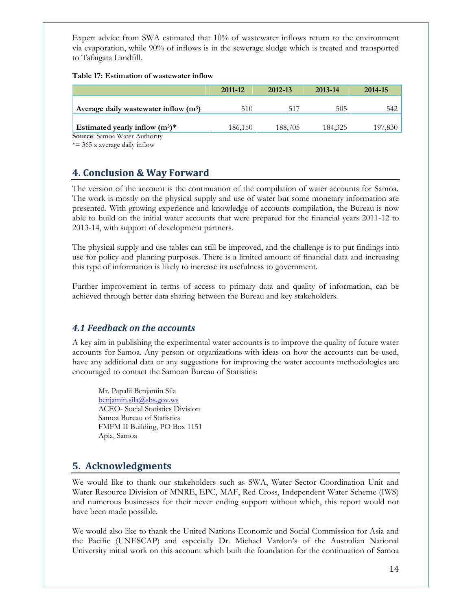Expert advice from SWA estimated that 10% of wastewater inflows return to the environment via evaporation, while 90% of inflows is in the sewerage sludge which is treated and transported to Tafaigata Landfill.

### **Table 17: Estimation of wastewater inflow**

|                                                   | 2011-12 | 2012-13 | 2013-14 | 2014-15 |
|---------------------------------------------------|---------|---------|---------|---------|
| Average daily wastewater inflow (m <sup>3</sup> ) | 510     | 517     | 505     | 542     |
| Estimated yearly inflow $(m^3)^*$                 | 186,150 | 188,705 | 184,325 | 197,830 |
| <b>Source:</b> Samoa Water Authority              |         |         |         |         |

\*= 365 x average daily inflow

# **4. Conclusion & Way Forward**

The version of the account is the continuation of the compilation of water accounts for Samoa. The work is mostly on the physical supply and use of water but some monetary information are presented. With growing experience and knowledge of accounts compilation, the Bureau is now able to build on the initial water accounts that were prepared for the financial years 2011-12 to 2013-14, with support of development partners.

The physical supply and use tables can still be improved, and the challenge is to put findings into use for policy and planning purposes. There is a limited amount of financial data and increasing this type of information is likely to increase its usefulness to government.

Further improvement in terms of access to primary data and quality of information, can be achieved through better data sharing between the Bureau and key stakeholders.

# *4.1 Feedback on the accounts*

A key aim in publishing the experimental water accounts is to improve the quality of future water accounts for Samoa. Any person or organizations with ideas on how the accounts can be used, have any additional data or any suggestions for improving the water accounts methodologies are encouraged to contact the Samoan Bureau of Statistics:

Mr. Papalii Benjamin Sila benjamin.sila@sbs.gov.ws ACEO- Social Statistics Division Samoa Bureau of Statistics FMFM II Building, PO Box 1151 Apia, Samoa

# **5. Acknowledgments**

We would like to thank our stakeholders such as SWA, Water Sector Coordination Unit and Water Resource Division of MNRE, EPC, MAF, Red Cross, Independent Water Scheme (IWS) and numerous businesses for their never ending support without which, this report would not have been made possible.

We would also like to thank the United Nations Economic and Social Commission for Asia and the Pacific (UNESCAP) and especially Dr. Michael Vardon's of the Australian National University initial work on this account which built the foundation for the continuation of Samoa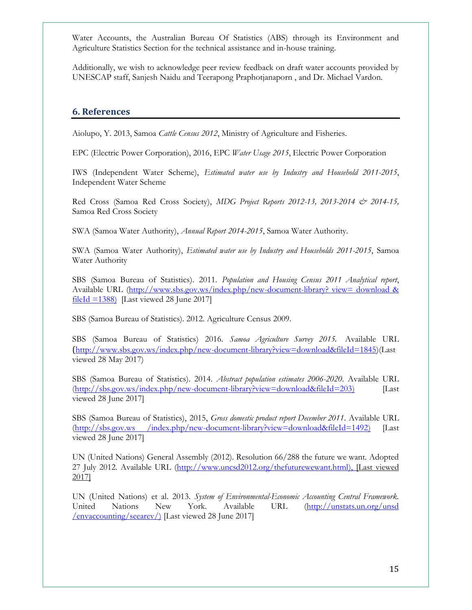Water Accounts, the Australian Bureau Of Statistics (ABS) through its Environment and Agriculture Statistics Section for the technical assistance and in-house training.

Additionally, we wish to acknowledge peer review feedback on draft water accounts provided by UNESCAP staff, Sanjesh Naidu and Teerapong Praphotjanaporn , and Dr. Michael Vardon.

### **6. References**

Aiolupo, Y. 2013, Samoa *Cattle Census 2012*, Ministry of Agriculture and Fisheries.

EPC (Electric Power Corporation), 2016, EPC *Water Usage 2015*, Electric Power Corporation

IWS (Independent Water Scheme), *Estimated water use by Industry and Household 2011-2015*, Independent Water Scheme

Red Cross (Samoa Red Cross Society), *MDG Project Reports 2012-13, 2013-2014 & 2014-15,* Samoa Red Cross Society

SWA (Samoa Water Authority), *Annual Report 2014-2015*, Samoa Water Authority.

SWA (Samoa Water Authority), *Estimated water use by Industry and Households 2011-2015*, Samoa Water Authority

SBS (Samoa Bureau of Statistics). 2011. *Population and Housing Census 2011 Analytical report*, Available URL (http://www.sbs.gov.ws/index.php/new-document-library? view= download &  $\frac{\text{fileId} = 1388}{\text{Haid}}$  [Last viewed 28 June 2017]

SBS (Samoa Bureau of Statistics). 2012. Agriculture Census 2009.

SBS (Samoa Bureau of Statistics) 2016. *Samoa Agriculture Survey 2015.* Available URL (http://www.sbs.gov.ws/index.php/new-document-library?view=download&fileId=1845)(Last viewed 28 May 2017)

SBS (Samoa Bureau of Statistics). 2014. *Abstract population estimates 2006-2020*. Available URL (http://sbs.gov.ws/index.php/new-document-library?view=download&fileId=203) [Last viewed 28 June 2017]

SBS (Samoa Bureau of Statistics), 2015, *Gross domestic product report December 2011*. Available URL (http://sbs.gov.ws /index.php/new-document-library?view=download&fileId=1492) [Last viewed 28 June 2017]

UN (United Nations) General Assembly (2012). Resolution 66/288 the future we want. Adopted 27 July 2012. Available URL (http://www.uncsd2012.org/thefuturewewant.html), [Last viewed 2017]

UN (United Nations) et al. 2013. *System of Environmental-Economic Accounting Central Framework.* United Nations New York. Available URL (http://unstats.un.org/unsd /envaccounting/seearev/) [Last viewed 28 June 2017]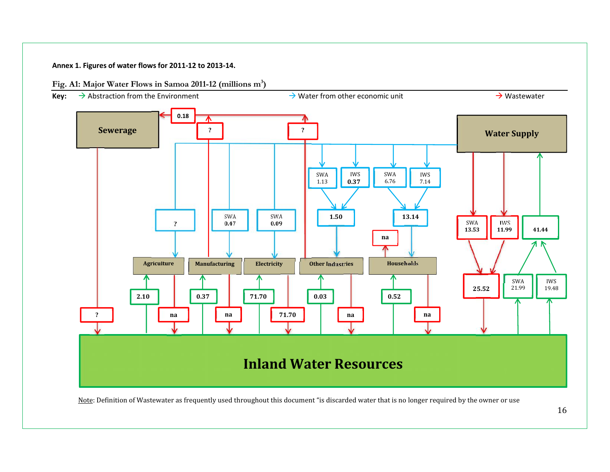**Annex 1. Figures of water flows for 2011-12 to 2013-14.**



Note: Definition of Wastewater as frequently used throughout this document "is discarded water that is no longer required by the owner or use

16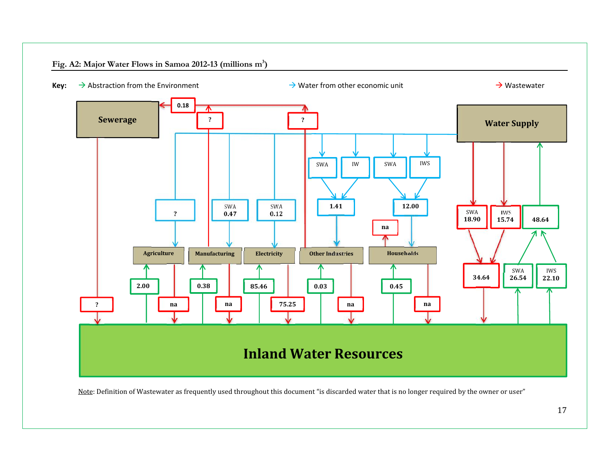

Note: Definition of Wastewater as frequently used throughout this document "is discarded water that is no longer required by the owner or user"